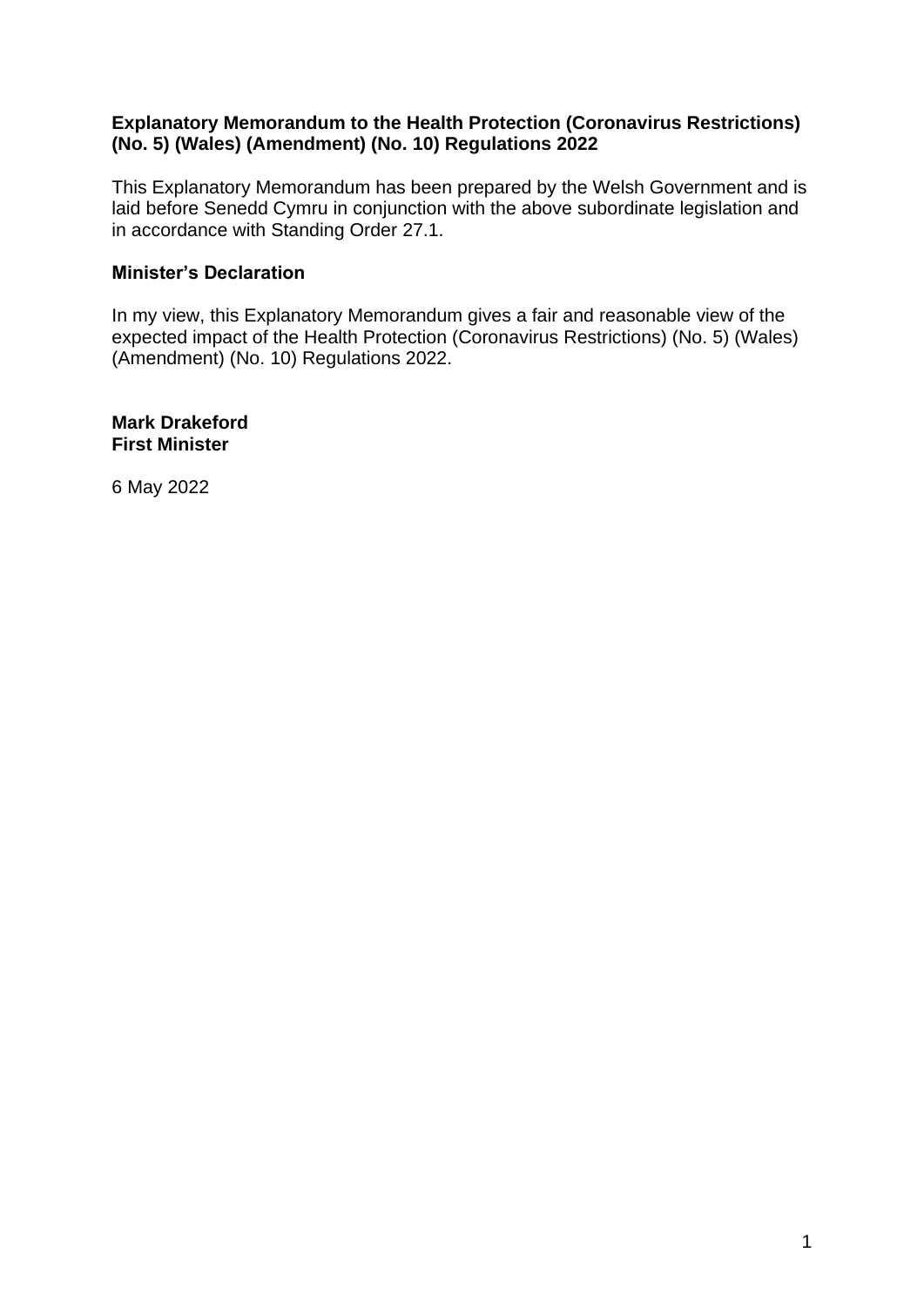## **Explanatory Memorandum to the Health Protection (Coronavirus Restrictions) (No. 5) (Wales) (Amendment) (No. 10) Regulations 2022**

This Explanatory Memorandum has been prepared by the Welsh Government and is laid before Senedd Cymru in conjunction with the above subordinate legislation and in accordance with Standing Order 27.1.

## **Minister's Declaration**

In my view, this Explanatory Memorandum gives a fair and reasonable view of the expected impact of the Health Protection (Coronavirus Restrictions) (No. 5) (Wales) (Amendment) (No. 10) Regulations 2022.

**Mark Drakeford First Minister**

6 May 2022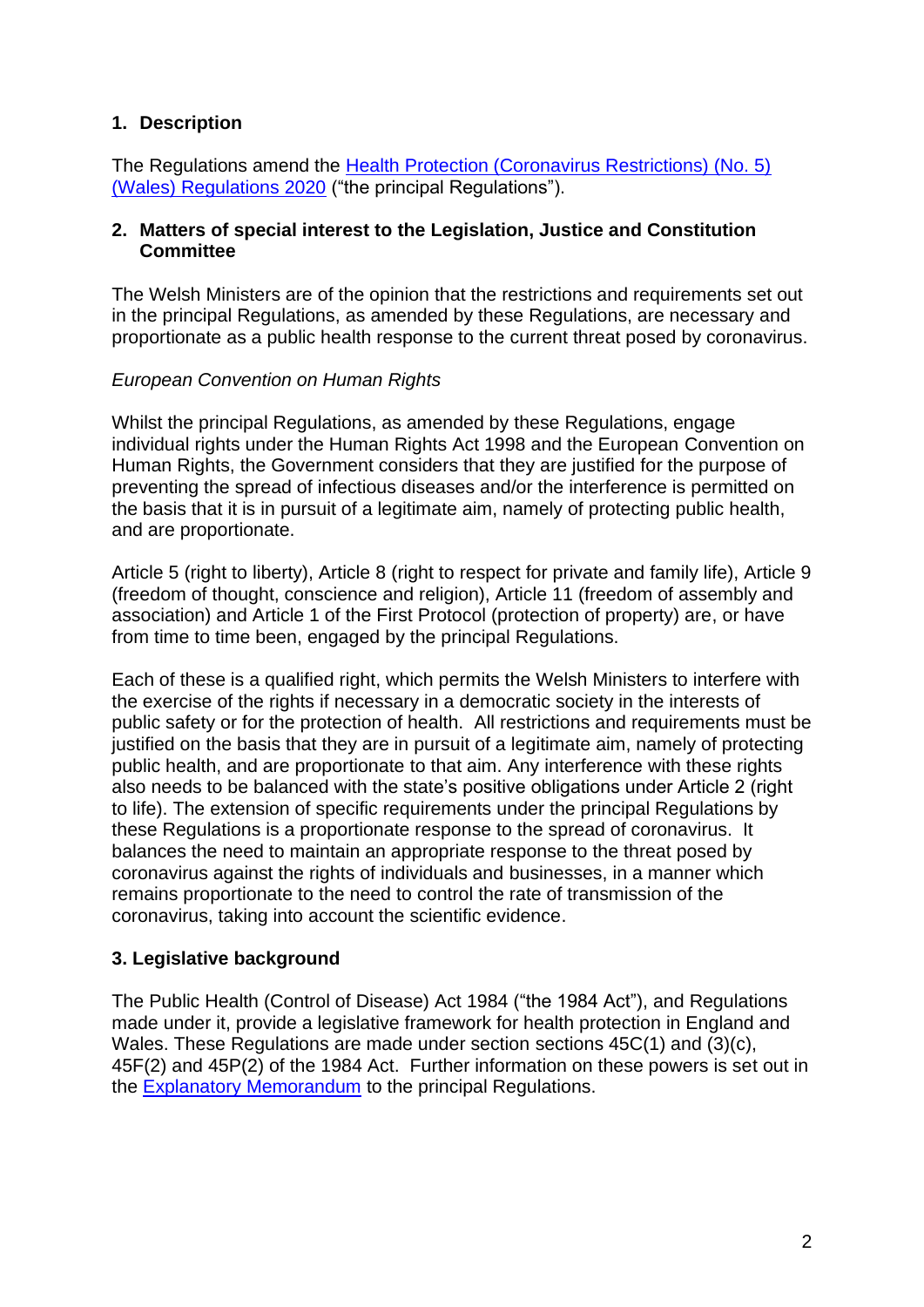# **1. Description**

The Regulations amend the [Health Protection \(Coronavirus Restrictions\) \(No. 5\)](https://www.legislation.gov.uk/wsi/2020/1609/contents)  [\(Wales\) Regulations 2020](https://www.legislation.gov.uk/wsi/2020/1609/contents) ("the principal Regulations").

#### **2. Matters of special interest to the Legislation, Justice and Constitution Committee**

The Welsh Ministers are of the opinion that the restrictions and requirements set out in the principal Regulations, as amended by these Regulations, are necessary and proportionate as a public health response to the current threat posed by coronavirus.

## *European Convention on Human Rights*

Whilst the principal Regulations, as amended by these Regulations, engage individual rights under the Human Rights Act 1998 and the European Convention on Human Rights, the Government considers that they are justified for the purpose of preventing the spread of infectious diseases and/or the interference is permitted on the basis that it is in pursuit of a legitimate aim, namely of protecting public health, and are proportionate.

Article 5 (right to liberty), Article 8 (right to respect for private and family life), Article 9 (freedom of thought, conscience and religion), Article 11 (freedom of assembly and association) and Article 1 of the First Protocol (protection of property) are, or have from time to time been, engaged by the principal Regulations.

Each of these is a qualified right, which permits the Welsh Ministers to interfere with the exercise of the rights if necessary in a democratic society in the interests of public safety or for the protection of health. All restrictions and requirements must be justified on the basis that they are in pursuit of a legitimate aim, namely of protecting public health, and are proportionate to that aim. Any interference with these rights also needs to be balanced with the state's positive obligations under Article 2 (right to life). The extension of specific requirements under the principal Regulations by these Regulations is a proportionate response to the spread of coronavirus. It balances the need to maintain an appropriate response to the threat posed by coronavirus against the rights of individuals and businesses, in a manner which remains proportionate to the need to control the rate of transmission of the coronavirus, taking into account the scientific evidence.

# **3. Legislative background**

The Public Health (Control of Disease) Act 1984 ("the 1984 Act"), and Regulations made under it, provide a legislative framework for health protection in England and Wales. These Regulations are made under section sections 45C(1) and (3)(c), 45F(2) and 45P(2) of the 1984 Act. Further information on these powers is set out in the [Explanatory Memorandum](https://business.senedd.wales/documents/s111120/EM%20SL5706%20-%20The%20Health%20Protection%20Coronavirus%20Restrictions%20No.%205%20Wales%20Regulations%202020.pdf) to the principal Regulations.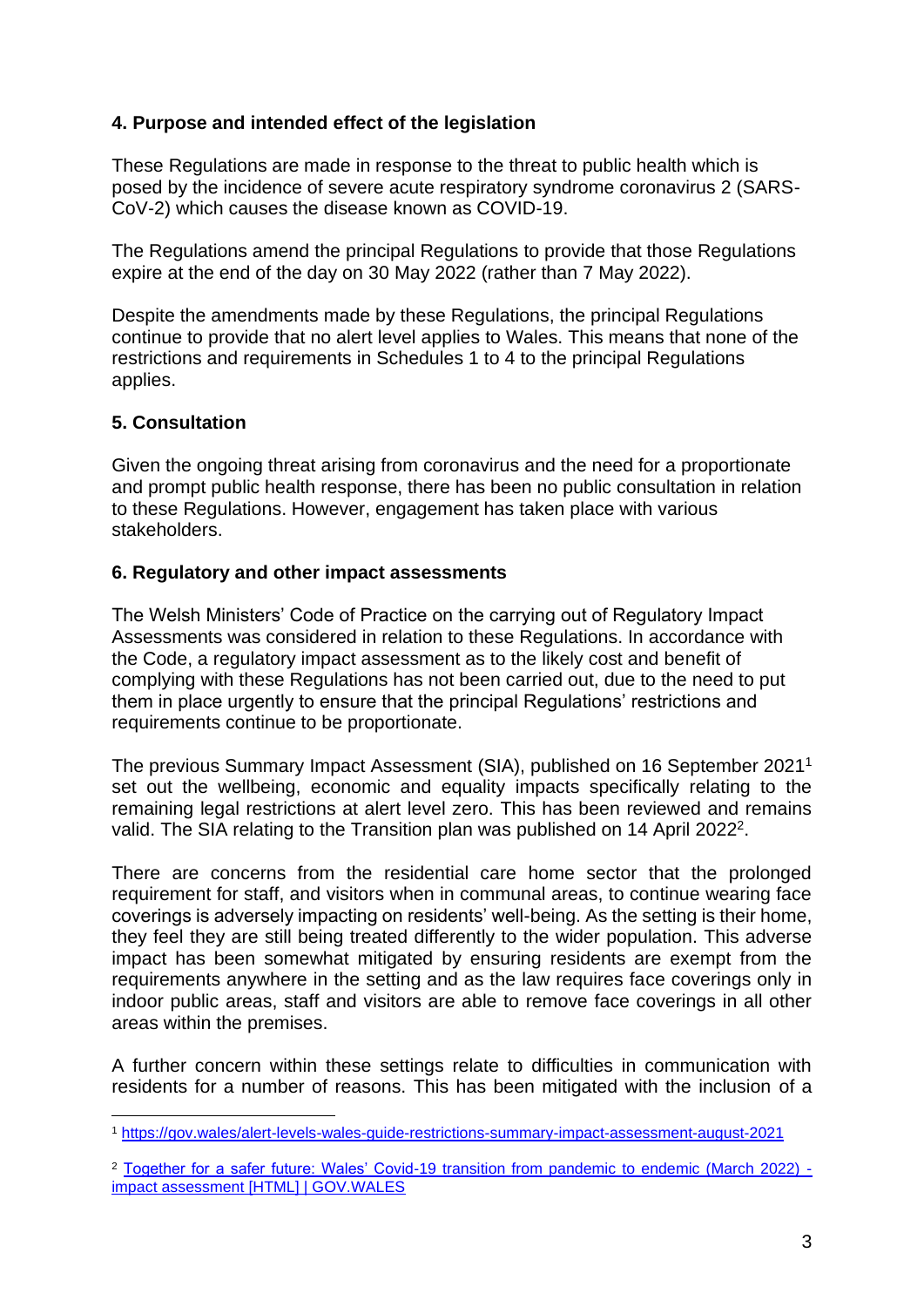# **4. Purpose and intended effect of the legislation**

These Regulations are made in response to the threat to public health which is posed by the incidence of severe acute respiratory syndrome coronavirus 2 (SARS-CoV-2) which causes the disease known as COVID-19.

The Regulations amend the principal Regulations to provide that those Regulations expire at the end of the day on 30 May 2022 (rather than 7 May 2022).

Despite the amendments made by these Regulations, the principal Regulations continue to provide that no alert level applies to Wales. This means that none of the restrictions and requirements in Schedules 1 to 4 to the principal Regulations applies.

## **5. Consultation**

Given the ongoing threat arising from coronavirus and the need for a proportionate and prompt public health response, there has been no public consultation in relation to these Regulations. However, engagement has taken place with various stakeholders.

#### **6. Regulatory and other impact assessments**

The Welsh Ministers' Code of Practice on the carrying out of Regulatory Impact Assessments was considered in relation to these Regulations. In accordance with the Code, a regulatory impact assessment as to the likely cost and benefit of complying with these Regulations has not been carried out, due to the need to put them in place urgently to ensure that the principal Regulations' restrictions and requirements continue to be proportionate.

The previous Summary Impact Assessment (SIA), published on 16 September 2021<sup>1</sup> set out the wellbeing, economic and equality impacts specifically relating to the remaining legal restrictions at alert level zero. This has been reviewed and remains valid. The SIA relating to the Transition plan was published on 14 April 2022<sup>2</sup>.

There are concerns from the residential care home sector that the prolonged requirement for staff, and visitors when in communal areas, to continue wearing face coverings is adversely impacting on residents' well-being. As the setting is their home, they feel they are still being treated differently to the wider population. This adverse impact has been somewhat mitigated by ensuring residents are exempt from the requirements anywhere in the setting and as the law requires face coverings only in indoor public areas, staff and visitors are able to remove face coverings in all other areas within the premises.

A further concern within these settings relate to difficulties in communication with residents for a number of reasons. This has been mitigated with the inclusion of a

<sup>1</sup> <https://gov.wales/alert-levels-wales-guide-restrictions-summary-impact-assessment-august-2021>

<sup>2</sup> [Together for a safer future: Wales' Covid-19 transition from pandemic to endemic \(March 2022\)](https://gov.wales/together-for-a-safer-future-wales-covid-19-transition-from-pandemic-to-endemic-march-2022-impact-assessment-html)  [impact assessment \[HTML\] | GOV.WALES](https://gov.wales/together-for-a-safer-future-wales-covid-19-transition-from-pandemic-to-endemic-march-2022-impact-assessment-html)